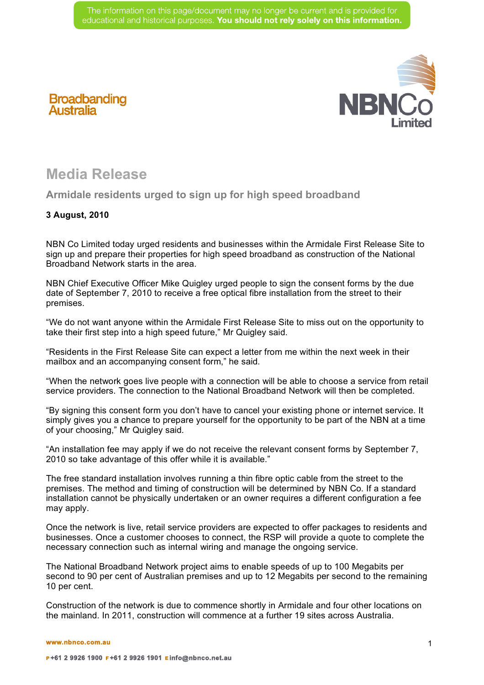

## **Media Release**

**Broadbanding**<br>Australia

**Armidale residents urged to sign up for high speed broadband**

## **3 August, 2010**

NBN Co Limited today urged residents and businesses within the Armidale First Release Site to sign up and prepare their properties for high speed broadband as construction of the National Broadband Network starts in the area.

NBN Chief Executive Officer Mike Quigley urged people to sign the consent forms by the due date of September 7, 2010 to receive a free optical fibre installation from the street to their premises.

"We do not want anyone within the Armidale First Release Site to miss out on the opportunity to take their first step into a high speed future," Mr Quigley said.

"Residents in the First Release Site can expect a letter from me within the next week in their mailbox and an accompanying consent form," he said.

"When the network goes live people with a connection will be able to choose a service from retail service providers. The connection to the National Broadband Network will then be completed.

"By signing this consent form you don't have to cancel your existing phone or internet service. It simply gives you a chance to prepare yourself for the opportunity to be part of the NBN at a time of your choosing," Mr Quigley said.

"An installation fee may apply if we do not receive the relevant consent forms by September 7, 2010 so take advantage of this offer while it is available."

The free standard installation involves running a thin fibre optic cable from the street to the premises. The method and timing of construction will be determined by NBN Co. If a standard installation cannot be physically undertaken or an owner requires a different configuration a fee may apply.

Once the network is live, retail service providers are expected to offer packages to residents and businesses. Once a customer chooses to connect, the RSP will provide a quote to complete the necessary connection such as internal wiring and manage the ongoing service.

The National Broadband Network project aims to enable speeds of up to 100 Megabits per second to 90 per cent of Australian premises and up to 12 Megabits per second to the remaining 10 per cent.

Construction of the network is due to commence shortly in Armidale and four other locations on the mainland. In 2011, construction will commence at a further 19 sites across Australia.

**www.nbnco.com.au**